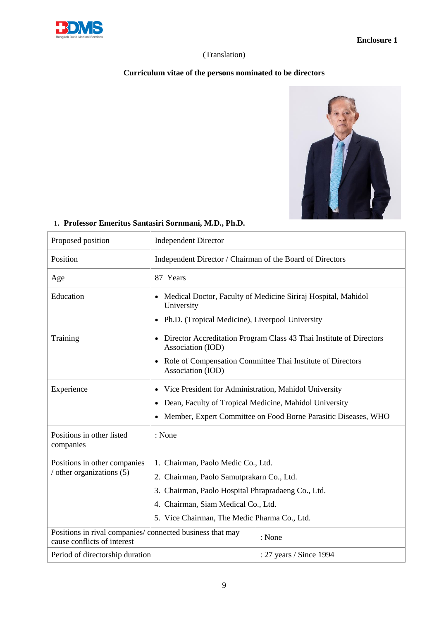

### (Translation)

## **Curriculum vitae of the persons nominated to be directors**



# **1. Professor Emeritus Santasiri Sornmani, M.D., Ph.D.**

| Proposed position                                                                       | <b>Independent Director</b>                                                                                                                                                                                                  |                         |
|-----------------------------------------------------------------------------------------|------------------------------------------------------------------------------------------------------------------------------------------------------------------------------------------------------------------------------|-------------------------|
| Position                                                                                | Independent Director / Chairman of the Board of Directors                                                                                                                                                                    |                         |
| Age                                                                                     | 87 Years                                                                                                                                                                                                                     |                         |
| Education                                                                               | Medical Doctor, Faculty of Medicine Siriraj Hospital, Mahidol<br>University<br>Ph.D. (Tropical Medicine), Liverpool University<br>$\bullet$                                                                                  |                         |
| Training                                                                                | • Director Accreditation Program Class 43 Thai Institute of Directors<br>Association (IOD)<br>Role of Compensation Committee Thai Institute of Directors<br>$\bullet$                                                        |                         |
|                                                                                         | Association (IOD)                                                                                                                                                                                                            |                         |
| Experience                                                                              | Vice President for Administration, Mahidol University<br>Dean, Faculty of Tropical Medicine, Mahidol University<br>$\bullet$<br>Member, Expert Committee on Food Borne Parasitic Diseases, WHO                               |                         |
| Positions in other listed<br>companies                                                  | : None                                                                                                                                                                                                                       |                         |
| Positions in other companies<br>/ other organizations (5)                               | 1. Chairman, Paolo Medic Co., Ltd.<br>2. Chairman, Paolo Samutprakarn Co., Ltd.<br>3. Chairman, Paolo Hospital Phrapradaeng Co., Ltd.<br>4. Chairman, Siam Medical Co., Ltd.<br>5. Vice Chairman, The Medic Pharma Co., Ltd. |                         |
| Positions in rival companies/connected business that may<br>cause conflicts of interest | : None                                                                                                                                                                                                                       |                         |
| Period of directorship duration                                                         |                                                                                                                                                                                                                              | : 27 years / Since 1994 |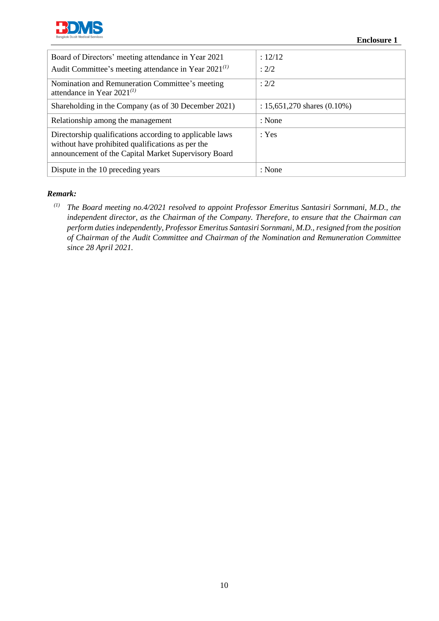

| Board of Directors' meeting attendance in Year 2021                                                                                                                   | : 12/12                          |
|-----------------------------------------------------------------------------------------------------------------------------------------------------------------------|----------------------------------|
| Audit Committee's meeting attendance in Year $2021^{(1)}$                                                                                                             | : 2/2                            |
| Nomination and Remuneration Committee's meeting<br>attendance in Year $2021^{(1)}$                                                                                    | : 2/2                            |
| Shareholding in the Company (as of 30 December 2021)                                                                                                                  | : $15,651,270$ shares $(0.10\%)$ |
| Relationship among the management                                                                                                                                     | : None                           |
| Directorship qualifications according to applicable laws<br>without have prohibited qualifications as per the<br>announcement of the Capital Market Supervisory Board | $\cdot$ Yes                      |
| Dispute in the 10 preceding years                                                                                                                                     | : None                           |

#### *Remark:*

*(1) The Board meeting no.4/2021 resolved to appoint Professor Emeritus Santasiri Sornmani, M.D., the independent director, as the Chairman of the Company. Therefore, to ensure that the Chairman can perform duties independently, Professor Emeritus Santasiri Sornmani, M.D., resigned from the position of Chairman of the Audit Committee and Chairman of the Nomination and Remuneration Committee since 28 April 2021.*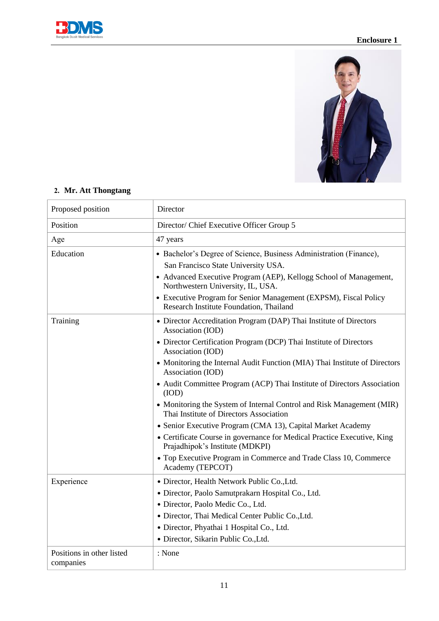



# **2. Mr. Att Thongtang**

| Proposed position                      | Director                                                                                                                                                                                                                                                            |  |
|----------------------------------------|---------------------------------------------------------------------------------------------------------------------------------------------------------------------------------------------------------------------------------------------------------------------|--|
| Position                               | Director/ Chief Executive Officer Group 5                                                                                                                                                                                                                           |  |
| Age                                    | 47 years                                                                                                                                                                                                                                                            |  |
| Education                              | • Bachelor's Degree of Science, Business Administration (Finance),<br>San Francisco State University USA.<br>• Advanced Executive Program (AEP), Kellogg School of Management,<br>Northwestern University, IL, USA.                                                 |  |
|                                        |                                                                                                                                                                                                                                                                     |  |
|                                        | • Executive Program for Senior Management (EXPSM), Fiscal Policy<br>Research Institute Foundation, Thailand                                                                                                                                                         |  |
| Training                               | • Director Accreditation Program (DAP) Thai Institute of Directors<br>Association (IOD)                                                                                                                                                                             |  |
|                                        | • Director Certification Program (DCP) Thai Institute of Directors<br>Association (IOD)                                                                                                                                                                             |  |
|                                        | • Monitoring the Internal Audit Function (MIA) Thai Institute of Directors<br>Association (IOD)                                                                                                                                                                     |  |
|                                        | • Audit Committee Program (ACP) Thai Institute of Directors Association<br>(IOD)<br>• Monitoring the System of Internal Control and Risk Management (MIR)<br>Thai Institute of Directors Association<br>• Senior Executive Program (CMA 13), Capital Market Academy |  |
|                                        |                                                                                                                                                                                                                                                                     |  |
|                                        |                                                                                                                                                                                                                                                                     |  |
|                                        | • Certificate Course in governance for Medical Practice Executive, King<br>Prajadhipok's Institute (MDKPI)                                                                                                                                                          |  |
|                                        | • Top Executive Program in Commerce and Trade Class 10, Commerce<br>Academy (TEPCOT)                                                                                                                                                                                |  |
| Experience                             | · Director, Health Network Public Co., Ltd.                                                                                                                                                                                                                         |  |
|                                        | · Director, Paolo Samutprakarn Hospital Co., Ltd.                                                                                                                                                                                                                   |  |
|                                        | · Director, Paolo Medic Co., Ltd.                                                                                                                                                                                                                                   |  |
|                                        | · Director, Thai Medical Center Public Co., Ltd.<br>· Director, Phyathai 1 Hospital Co., Ltd.                                                                                                                                                                       |  |
|                                        |                                                                                                                                                                                                                                                                     |  |
|                                        | · Director, Sikarin Public Co., Ltd.                                                                                                                                                                                                                                |  |
| Positions in other listed<br>companies | : None                                                                                                                                                                                                                                                              |  |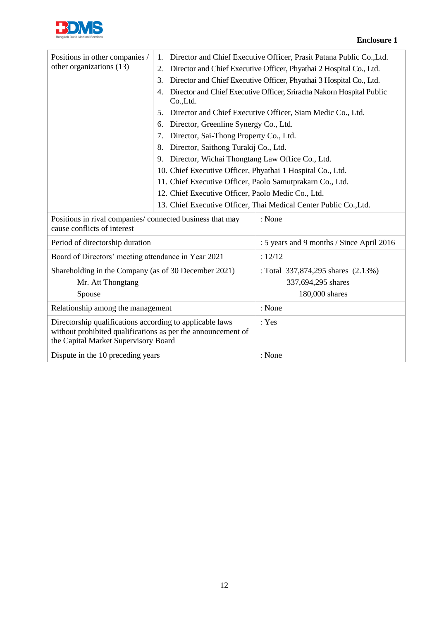

| Positions in other companies /                                                                                                                                   | 1.                                                         | Director and Chief Executive Officer, Prasit Patana Public Co., Ltd.  |
|------------------------------------------------------------------------------------------------------------------------------------------------------------------|------------------------------------------------------------|-----------------------------------------------------------------------|
| other organizations (13)                                                                                                                                         | 2.                                                         | Director and Chief Executive Officer, Phyathai 2 Hospital Co., Ltd.   |
|                                                                                                                                                                  | 3.                                                         | Director and Chief Executive Officer, Phyathai 3 Hospital Co., Ltd.   |
|                                                                                                                                                                  | 4.                                                         | Director and Chief Executive Officer, Sriracha Nakorn Hospital Public |
|                                                                                                                                                                  | Co.,Ltd.                                                   |                                                                       |
|                                                                                                                                                                  | 5.                                                         | Director and Chief Executive Officer, Siam Medic Co., Ltd.            |
|                                                                                                                                                                  | Director, Greenline Synergy Co., Ltd.<br>6.                |                                                                       |
|                                                                                                                                                                  | Director, Sai-Thong Property Co., Ltd.<br>7.               |                                                                       |
|                                                                                                                                                                  | Director, Saithong Turakij Co., Ltd.<br>8.                 |                                                                       |
|                                                                                                                                                                  | Director, Wichai Thongtang Law Office Co., Ltd.<br>9.      |                                                                       |
|                                                                                                                                                                  | 10. Chief Executive Officer, Phyathai 1 Hospital Co., Ltd. |                                                                       |
|                                                                                                                                                                  | 11. Chief Executive Officer, Paolo Samutprakarn Co., Ltd.  |                                                                       |
|                                                                                                                                                                  | 12. Chief Executive Officer, Paolo Medic Co., Ltd.         |                                                                       |
|                                                                                                                                                                  |                                                            | 13. Chief Executive Officer, Thai Medical Center Public Co., Ltd.     |
| Positions in rival companies/connected business that may<br>cause conflicts of interest                                                                          |                                                            | : None                                                                |
| Period of directorship duration                                                                                                                                  |                                                            | : 5 years and 9 months / Since April 2016                             |
| Board of Directors' meeting attendance in Year 2021                                                                                                              |                                                            | : 12/12                                                               |
| Shareholding in the Company (as of 30 December 2021)                                                                                                             |                                                            | : Total 337,874,295 shares (2.13%)                                    |
| Mr. Att Thongtang                                                                                                                                                |                                                            | 337,694,295 shares                                                    |
| Spouse                                                                                                                                                           |                                                            | 180,000 shares                                                        |
| Relationship among the management                                                                                                                                |                                                            | : None                                                                |
| Directorship qualifications according to applicable laws<br>without prohibited qualifications as per the announcement of<br>the Capital Market Supervisory Board |                                                            | : Yes                                                                 |
| Dispute in the 10 preceding years                                                                                                                                |                                                            | : None                                                                |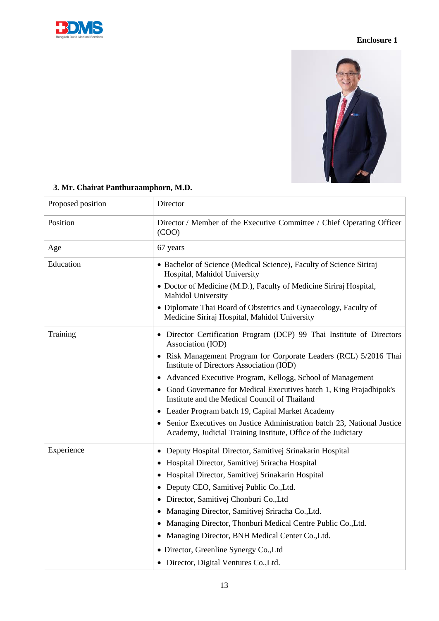



| Proposed position | Director                                                                                                                                                                                                                                                                                              |  |
|-------------------|-------------------------------------------------------------------------------------------------------------------------------------------------------------------------------------------------------------------------------------------------------------------------------------------------------|--|
| Position          | Director / Member of the Executive Committee / Chief Operating Officer<br>(COO)                                                                                                                                                                                                                       |  |
| Age               | 67 years                                                                                                                                                                                                                                                                                              |  |
| Education         | • Bachelor of Science (Medical Science), Faculty of Science Siriraj<br>Hospital, Mahidol University                                                                                                                                                                                                   |  |
|                   | · Doctor of Medicine (M.D.), Faculty of Medicine Siriraj Hospital,<br>Mahidol University                                                                                                                                                                                                              |  |
|                   | • Diplomate Thai Board of Obstetrics and Gynaecology, Faculty of<br>Medicine Siriraj Hospital, Mahidol University                                                                                                                                                                                     |  |
| Training          | • Director Certification Program (DCP) 99 Thai Institute of Directors<br>Association (IOD)                                                                                                                                                                                                            |  |
|                   | • Risk Management Program for Corporate Leaders (RCL) 5/2016 Thai<br>Institute of Directors Association (IOD)<br>• Advanced Executive Program, Kellogg, School of Management<br>• Good Governance for Medical Executives batch 1, King Prajadhipok's<br>Institute and the Medical Council of Thailand |  |
|                   |                                                                                                                                                                                                                                                                                                       |  |
|                   |                                                                                                                                                                                                                                                                                                       |  |
|                   | • Leader Program batch 19, Capital Market Academy                                                                                                                                                                                                                                                     |  |
|                   | Senior Executives on Justice Administration batch 23, National Justice<br>Academy, Judicial Training Institute, Office of the Judiciary                                                                                                                                                               |  |
| Experience        | Deputy Hospital Director, Samitivej Srinakarin Hospital                                                                                                                                                                                                                                               |  |
|                   | Hospital Director, Samitivej Sriracha Hospital                                                                                                                                                                                                                                                        |  |
|                   | Hospital Director, Samitivej Srinakarin Hospital                                                                                                                                                                                                                                                      |  |
|                   | • Deputy CEO, Samitivej Public Co., Ltd.                                                                                                                                                                                                                                                              |  |
|                   | · Director, Samitivej Chonburi Co., Ltd                                                                                                                                                                                                                                                               |  |
|                   | • Managing Director, Samitivej Sriracha Co., Ltd.                                                                                                                                                                                                                                                     |  |
|                   | • Managing Director, Thonburi Medical Centre Public Co., Ltd.<br>• Managing Director, BNH Medical Center Co., Ltd.                                                                                                                                                                                    |  |
|                   |                                                                                                                                                                                                                                                                                                       |  |
|                   | · Director, Greenline Synergy Co., Ltd                                                                                                                                                                                                                                                                |  |
|                   | • Director, Digital Ventures Co., Ltd.                                                                                                                                                                                                                                                                |  |

# **3. Mr. Chairat Panthuraamphorn, M.D.**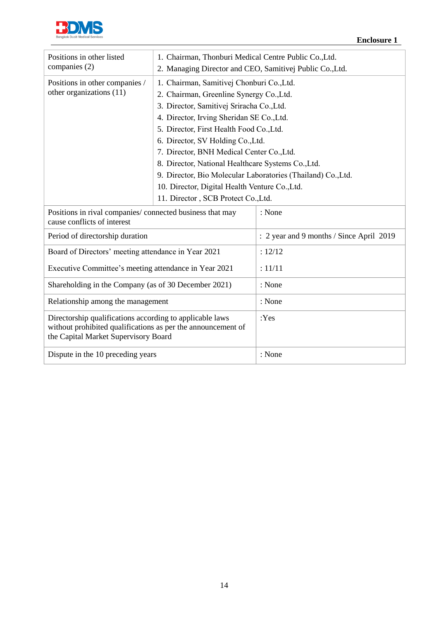

| Positions in other listed                                                                                                                                        | 1. Chairman, Thonburi Medical Centre Public Co., Ltd.        |                                          |  |
|------------------------------------------------------------------------------------------------------------------------------------------------------------------|--------------------------------------------------------------|------------------------------------------|--|
| companies (2)                                                                                                                                                    | 2. Managing Director and CEO, Samitivej Public Co., Ltd.     |                                          |  |
| Positions in other companies /                                                                                                                                   | 1. Chairman, Samitivej Chonburi Co., Ltd.                    |                                          |  |
| other organizations (11)                                                                                                                                         | 2. Chairman, Greenline Synergy Co., Ltd.                     |                                          |  |
|                                                                                                                                                                  | 3. Director, Samitivej Sriracha Co., Ltd.                    |                                          |  |
|                                                                                                                                                                  | 4. Director, Irving Sheridan SE Co., Ltd.                    |                                          |  |
|                                                                                                                                                                  | 5. Director, First Health Food Co., Ltd.                     |                                          |  |
|                                                                                                                                                                  | 6. Director, SV Holding Co., Ltd.                            |                                          |  |
|                                                                                                                                                                  | 7. Director, BNH Medical Center Co., Ltd.                    |                                          |  |
|                                                                                                                                                                  | 8. Director, National Healthcare Systems Co., Ltd.           |                                          |  |
|                                                                                                                                                                  | 9. Director, Bio Molecular Laboratories (Thailand) Co., Ltd. |                                          |  |
|                                                                                                                                                                  | 10. Director, Digital Health Venture Co., Ltd.               |                                          |  |
|                                                                                                                                                                  | 11. Director, SCB Protect Co., Ltd.                          |                                          |  |
| Positions in rival companies/connected business that may<br>cause conflicts of interest                                                                          |                                                              | : None                                   |  |
| Period of directorship duration                                                                                                                                  |                                                              | : 2 year and 9 months / Since April 2019 |  |
| Board of Directors' meeting attendance in Year 2021                                                                                                              |                                                              | : 12/12                                  |  |
| Executive Committee's meeting attendance in Year 2021                                                                                                            |                                                              | : 11/11                                  |  |
| Shareholding in the Company (as of 30 December 2021)                                                                                                             |                                                              | : None                                   |  |
| Relationship among the management                                                                                                                                |                                                              | : None                                   |  |
| Directorship qualifications according to applicable laws<br>without prohibited qualifications as per the announcement of<br>the Capital Market Supervisory Board |                                                              | :Yes                                     |  |
| Dispute in the 10 preceding years                                                                                                                                |                                                              | : None                                   |  |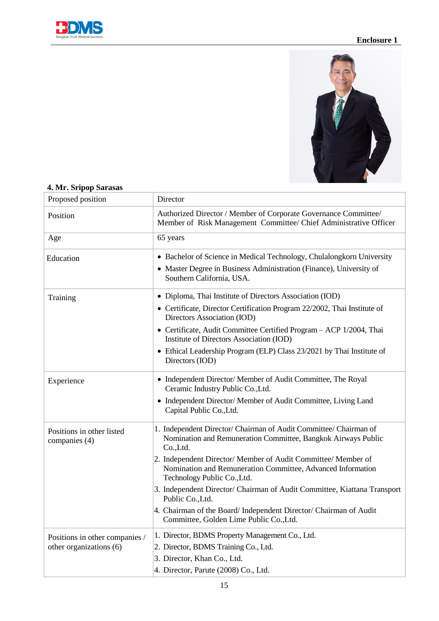



| Proposed position                          | Director                                                                                                                                                                  |  |
|--------------------------------------------|---------------------------------------------------------------------------------------------------------------------------------------------------------------------------|--|
| Position                                   | Authorized Director / Member of Corporate Governance Committee/<br>Member of Risk Management Committee/ Chief Administrative Officer                                      |  |
| Age                                        | 65 years                                                                                                                                                                  |  |
| Education                                  | • Bachelor of Science in Medical Technology, Chulalongkorn University<br>• Master Degree in Business Administration (Finance), University of<br>Southern California, USA. |  |
| Training                                   | • Diploma, Thai Institute of Directors Association (IOD)<br>• Certificate, Director Certification Program 22/2002, Thai Institute of<br>Directors Association (IOD)       |  |
|                                            | • Certificate, Audit Committee Certified Program - ACP 1/2004, Thai<br>Institute of Directors Association (IOD)                                                           |  |
|                                            | • Ethical Leadership Program (ELP) Class 23/2021 by Thai Institute of<br>Directors (IOD)                                                                                  |  |
| Experience                                 | • Independent Director/ Member of Audit Committee, The Royal<br>Ceramic Industry Public Co., Ltd.                                                                         |  |
|                                            | • Independent Director/ Member of Audit Committee, Living Land<br>Capital Public Co., Ltd.                                                                                |  |
| Positions in other listed<br>companies (4) | 1. Independent Director/ Chairman of Audit Committee/ Chairman of<br>Nomination and Remuneration Committee, Bangkok Airways Public<br>Co.,Ltd.                            |  |
|                                            | 2. Independent Director/ Member of Audit Committee/ Member of<br>Nomination and Remuneration Committee, Advanced Information<br>Technology Public Co., Ltd.               |  |
|                                            | 3. Independent Director/ Chairman of Audit Committee, Kiattana Transport<br>Public Co., Ltd.                                                                              |  |
|                                            | 4. Chairman of the Board/Independent Director/Chairman of Audit<br>Committee, Golden Lime Public Co., Ltd.                                                                |  |
| Positions in other companies /             | 1. Director, BDMS Property Management Co., Ltd.                                                                                                                           |  |
| other organizations (6)                    | 2. Director, BDMS Training Co., Ltd.                                                                                                                                      |  |
|                                            | 3. Director, Khan Co., Ltd.                                                                                                                                               |  |
|                                            | 4. Director, Parute (2008) Co., Ltd.                                                                                                                                      |  |

#### **4. Mr. Sripop Sarasas**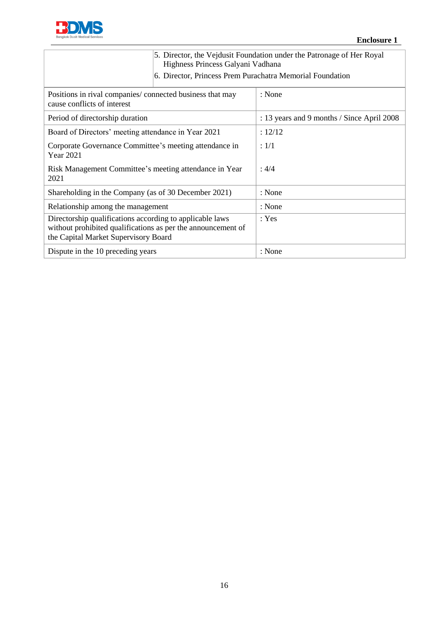

|                                                                                                                                                                  | Highness Princess Galyani Vadhana                         | 5. Director, the Vejdusit Foundation under the Patronage of Her Royal |
|------------------------------------------------------------------------------------------------------------------------------------------------------------------|-----------------------------------------------------------|-----------------------------------------------------------------------|
|                                                                                                                                                                  | 6. Director, Princess Prem Purachatra Memorial Foundation |                                                                       |
| Positions in rival companies/connected business that may<br>cause conflicts of interest                                                                          |                                                           | : None                                                                |
| Period of directorship duration                                                                                                                                  |                                                           | : 13 years and 9 months / Since April 2008                            |
| Board of Directors' meeting attendance in Year 2021                                                                                                              |                                                           | : 12/12                                                               |
| Corporate Governance Committee's meeting attendance in<br><b>Year 2021</b>                                                                                       |                                                           | : 1/1                                                                 |
| Risk Management Committee's meeting attendance in Year<br>2021                                                                                                   |                                                           | : 4/4                                                                 |
| Shareholding in the Company (as of 30 December 2021)                                                                                                             |                                                           | : None                                                                |
| Relationship among the management                                                                                                                                |                                                           | : None                                                                |
| Directorship qualifications according to applicable laws<br>without prohibited qualifications as per the announcement of<br>the Capital Market Supervisory Board |                                                           | : Yes                                                                 |
| Dispute in the 10 preceding years                                                                                                                                |                                                           | : None                                                                |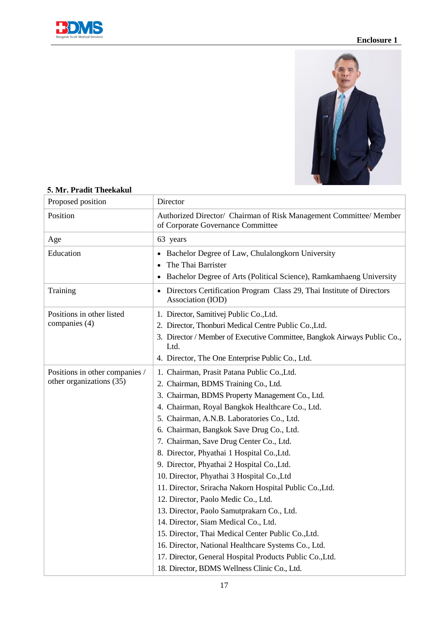



| Proposed position              | Director                                                                                                |  |  |
|--------------------------------|---------------------------------------------------------------------------------------------------------|--|--|
| Position                       | Authorized Director/ Chairman of Risk Management Committee/ Member<br>of Corporate Governance Committee |  |  |
| Age                            | 63 years                                                                                                |  |  |
| Education                      | Bachelor Degree of Law, Chulalongkorn University<br>$\bullet$                                           |  |  |
|                                | The Thai Barrister<br>Bachelor Degree of Arts (Political Science), Ramkamhaeng University               |  |  |
|                                |                                                                                                         |  |  |
| Training                       | • Directors Certification Program Class 29, Thai Institute of Directors<br>Association (IOD)            |  |  |
| Positions in other listed      | 1. Director, Samitivej Public Co., Ltd.                                                                 |  |  |
| companies (4)                  | 2. Director, Thonburi Medical Centre Public Co., Ltd.                                                   |  |  |
|                                | 3. Director / Member of Executive Committee, Bangkok Airways Public Co.,<br>Ltd.                        |  |  |
|                                | 4. Director, The One Enterprise Public Co., Ltd.                                                        |  |  |
| Positions in other companies / | 1. Chairman, Prasit Patana Public Co., Ltd.                                                             |  |  |
| other organizations (35)       | 2. Chairman, BDMS Training Co., Ltd.                                                                    |  |  |
|                                | 3. Chairman, BDMS Property Management Co., Ltd.                                                         |  |  |
|                                | 4. Chairman, Royal Bangkok Healthcare Co., Ltd.                                                         |  |  |
|                                | 5. Chairman, A.N.B. Laboratories Co., Ltd.                                                              |  |  |
|                                | 6. Chairman, Bangkok Save Drug Co., Ltd.                                                                |  |  |
|                                | 7. Chairman, Save Drug Center Co., Ltd.                                                                 |  |  |
|                                | 8. Director, Phyathai 1 Hospital Co., Ltd.                                                              |  |  |
|                                | 9. Director, Phyathai 2 Hospital Co., Ltd.                                                              |  |  |
|                                | 10. Director, Phyathai 3 Hospital Co., Ltd                                                              |  |  |
|                                | 11. Director, Sriracha Nakorn Hospital Public Co., Ltd.                                                 |  |  |
|                                | 12. Director, Paolo Medic Co., Ltd.                                                                     |  |  |
|                                | 13. Director, Paolo Samutprakarn Co., Ltd.                                                              |  |  |
|                                | 14. Director, Siam Medical Co., Ltd.                                                                    |  |  |
|                                | 15. Director, Thai Medical Center Public Co., Ltd.                                                      |  |  |
|                                | 16. Director, National Healthcare Systems Co., Ltd.                                                     |  |  |
|                                | 17. Director, General Hospital Products Public Co., Ltd.                                                |  |  |
|                                | 18. Director, BDMS Wellness Clinic Co., Ltd.                                                            |  |  |

#### **5. Mr. Pradit Theekakul**